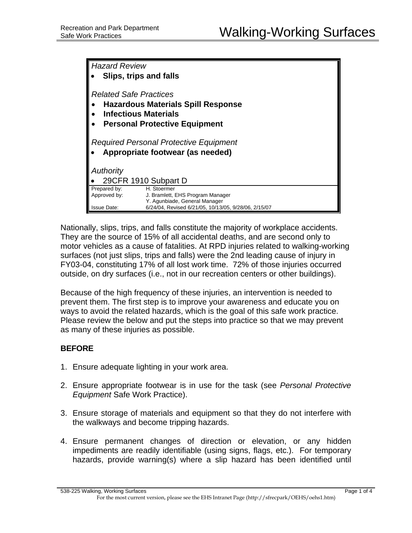| <b>Hazard Review</b><br>Slips, trips and falls                                                                                                    |                                                                                  |
|---------------------------------------------------------------------------------------------------------------------------------------------------|----------------------------------------------------------------------------------|
| <b>Related Safe Practices</b><br><b>Hazardous Materials Spill Response</b><br><b>Infectious Materials</b><br><b>Personal Protective Equipment</b> |                                                                                  |
| Required Personal Protective Equipment<br>Appropriate footwear (as needed)                                                                        |                                                                                  |
| Authority                                                                                                                                         |                                                                                  |
|                                                                                                                                                   | 29CFR 1910 Subpart D                                                             |
| Prepared by:<br>Approved by:                                                                                                                      | H. Stoermer<br>J. Bramlett, EHS Program Manager<br>Y. Agunbiade, General Manager |
| <b>Issue Date:</b>                                                                                                                                | 6/24/04, Revised 6/21/05, 10/13/05, 9/28/06, 2/15/07                             |

Nationally, slips, trips, and falls constitute the majority of workplace accidents. They are the source of 15% of all accidental deaths, and are second only to motor vehicles as a cause of fatalities. At RPD injuries related to walking-working surfaces (not just slips, trips and falls) were the 2nd leading cause of injury in FY03-04, constituting 17% of all lost work time. 72% of those injuries occurred outside, on dry surfaces (i.e., not in our recreation centers or other buildings).

Because of the high frequency of these injuries, an intervention is needed to prevent them. The first step is to improve your awareness and educate you on ways to avoid the related hazards, which is the goal of this safe work practice. Please review the below and put the steps into practice so that we may prevent as many of these injuries as possible.

# **BEFORE**

- 1. Ensure adequate lighting in your work area.
- 2. Ensure appropriate footwear is in use for the task (see *Personal Protective Equipment* Safe Work Practice).
- 3. Ensure storage of materials and equipment so that they do not interfere with the walkways and become tripping hazards.
- 4. Ensure permanent changes of direction or elevation, or any hidden impediments are readily identifiable (using signs, flags, etc.). For temporary hazards, provide warning(s) where a slip hazard has been identified until

538-225 Walking, Working Surfaces Page 1 of 4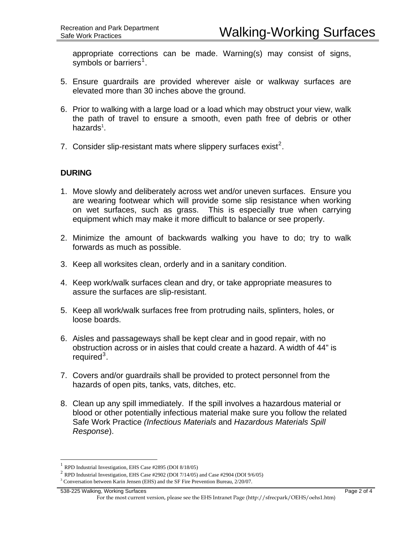appropriate corrections can be made. Warning(s) may consist of signs, symbols or barriers<sup>[1](#page-1-0)</sup>.

- 5. Ensure guardrails are provided wherever aisle or walkway surfaces are elevated more than 30 inches above the ground.
- 6. Prior to walking with a large load or a load which may obstruct your view, walk the path of travel to ensure a smooth, even path free of debris or other hazards<sup>1</sup>.
- 7. Consider slip-resistant mats where slippery surfaces exist<sup>[2](#page-1-1)</sup>.

### **DURING**

- 1. Move slowly and deliberately across wet and/or uneven surfaces. Ensure you are wearing footwear which will provide some slip resistance when working on wet surfaces, such as grass. This is especially true when carrying equipment which may make it more difficult to balance or see properly.
- 2. Minimize the amount of backwards walking you have to do; try to walk forwards as much as possible.
- 3. Keep all worksites clean, orderly and in a sanitary condition.
- 4. Keep work/walk surfaces clean and dry, or take appropriate measures to assure the surfaces are slip-resistant.
- 5. Keep all work/walk surfaces free from protruding nails, splinters, holes, or loose boards.
- 6. Aisles and passageways shall be kept clear and in good repair, with no obstruction across or in aisles that could create a hazard. A width of 44" is required<sup>[3](#page-1-2)</sup>.
- 7. Covers and/or guardrails shall be provided to protect personnel from the hazards of open pits, tanks, vats, ditches, etc.
- 8. Clean up any spill immediately. If the spill involves a hazardous material or blood or other potentially infectious material make sure you follow the related Safe Work Practice *(Infectious Materials* and *Hazardous Materials Spill Response*).

 $\overline{a}$ 

<sup>1</sup> RPD Industrial Investigation, EHS Case #2895 (DOI 8/18/05)

<span id="page-1-2"></span><span id="page-1-1"></span><span id="page-1-0"></span> $^2$  RPD Industrial Investigation, EHS Case #2902 (DOI 7/14/05) and Case #2904 (DOI 9/6/05)

<sup>&</sup>lt;sup>3</sup> Conversation between Karin Jensen (EHS) and the SF Fire Prevention Bureau, 2/20/07.

<sup>538-225</sup> Walking, Working Surfaces **Page 2 of 4** and 2014 of 538-225 Walking, Working Surfaces

For the most current version, please see the EHS Intranet Page (http://sfrecpark/OEHS/oehs1.htm)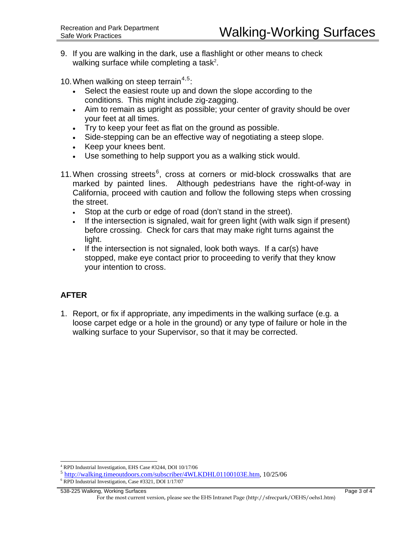9. If you are walking in the dark, use a flashlight or other means to check walking surface while completing a task<sup>2</sup>.

10. When walking on steep terrain<sup>[4](#page-2-0),[5](#page-2-1)</sup>:

- Select the easiest route up and down the slope according to the conditions. This might include zig-zagging.
- Aim to remain as upright as possible; your center of gravity should be over your feet at all times.
- Try to keep your feet as flat on the ground as possible.
- Side-stepping can be an effective way of negotiating a steep slope.
- Keep your knees bent.
- Use something to help support you as a walking stick would.
- 11. When crossing streets $6$ , cross at corners or mid-block crosswalks that are marked by painted lines. Although pedestrians have the right-of-way in California, proceed with caution and follow the following steps when crossing the street.
	- Stop at the curb or edge of road (don't stand in the street).
	- If the intersection is signaled, wait for green light (with walk sign if present) before crossing. Check for cars that may make right turns against the light.
	- If the intersection is not signaled, look both ways. If a car(s) have stopped, make eye contact prior to proceeding to verify that they know your intention to cross.

# **AFTER**

 $\overline{a}$ 

1. Report, or fix if appropriate, any impediments in the walking surface (e.g. a loose carpet edge or a hole in the ground) or any type of failure or hole in the walking surface to your Supervisor, so that it may be corrected.

<sup>4</sup> RPD Industrial Investigation, EHS Case #3244, DOI 10/17/06

<span id="page-2-1"></span><span id="page-2-0"></span><sup>5</sup> [http://walking.timeoutdoors.com/subscriber/4WLKDHL01100103E.htm,](http://walking.timeoutdoors.com/subscriber/4WLKDHL01100103E.htm) 10/25/06 6

<span id="page-2-2"></span>RPD Industrial Investigation, Case #3321, DOI 1/17/07

<sup>538-225</sup> Walking, Working Surfaces Page 3 of 4 For the most current version, please see the EHS Intranet Page (http://sfrecpark/OEHS/oehs1.htm)